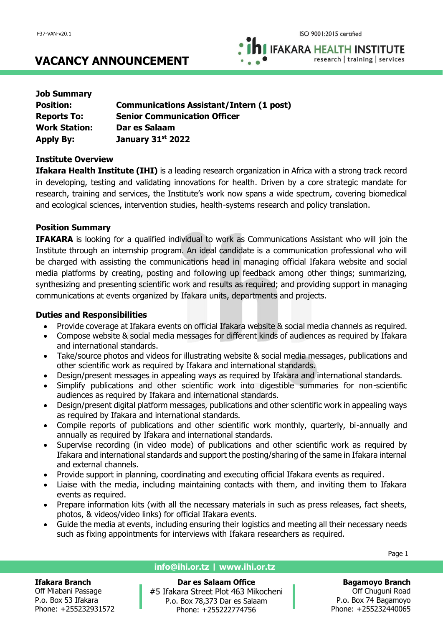**IFAKARA HEALTH INSTITUTE** research | training | services

## **VACANCY ANNOUNCEMENT**

| <b>Job Summary</b>   |                                                 |
|----------------------|-------------------------------------------------|
| <b>Position:</b>     | <b>Communications Assistant/Intern (1 post)</b> |
| <b>Reports To:</b>   | <b>Senior Communication Officer</b>             |
| <b>Work Station:</b> | Dar es Salaam                                   |
| <b>Apply By:</b>     | January 31st 2022                               |

## **Institute Overview**

**Ifakara Health Institute (IHI)** is a leading research organization in Africa with a strong track record in developing, testing and validating innovations for health. Driven by a core strategic mandate for research, training and services, the Institute's work now spans a wide spectrum, covering biomedical and ecological sciences, intervention studies, health-systems research and policy translation.

## **Position Summary**

**IFAKARA** is looking for a qualified individual to work as Communications Assistant who will join the Institute through an internship program. An ideal candidate is a communication professional who will be charged with assisting the communications head in managing official Ifakara website and social media platforms by creating, posting and following up feedback among other things; summarizing, synthesizing and presenting scientific work and results as required; and providing support in managing communications at events organized by Ifakara units, departments and projects.

#### **Duties and Responsibilities**

- Provide coverage at Ifakara events on official Ifakara website & social media channels as required.
- Compose website & social media messages for different kinds of audiences as required by Ifakara and international standards.
- Take/source photos and videos for illustrating website & social media messages, publications and other scientific work as required by Ifakara and international standards.
- Design/present messages in appealing ways as required by Ifakara and international standards.
- Simplify publications and other scientific work into digestible summaries for non-scientific audiences as required by Ifakara and international standards.
- Design/present digital platform messages, publications and other scientific work in appealing ways as required by Ifakara and international standards.
- Compile reports of publications and other scientific work monthly, quarterly, bi-annually and annually as required by Ifakara and international standards.
- Supervise recording (in video mode) of publications and other scientific work as required by Ifakara and international standards and support the posting/sharing of the same in Ifakara internal and external channels.
- Provide support in planning, coordinating and executing official Ifakara events as required.
- Liaise with the media, including maintaining contacts with them, and inviting them to Ifakara events as required.
- Prepare information kits (with all the necessary materials in such as press releases, fact sheets, photos, & videos/video links) for official Ifakara events.
- Guide the media at events, including ensuring their logistics and meeting all their necessary needs such as fixing appointments for interviews with Ifakara researchers as required.

#### **Ifakara Branch**

Off Mlabani Passage P.o. Box 53 Ifakara Phone: +255232931572

#### **info@ihi.or.tz | www.ihi.or.tz**

**Dar es Salaam Office** #5 Ifakara Street Plot 463 Mikocheni P.o. Box 78,373 Dar es Salaam Phone: +255222774756

Page 1

**Bagamoyo Branch** Off Chuguni Road P.o. Box 74 Bagamoyo Phone: +255232440065